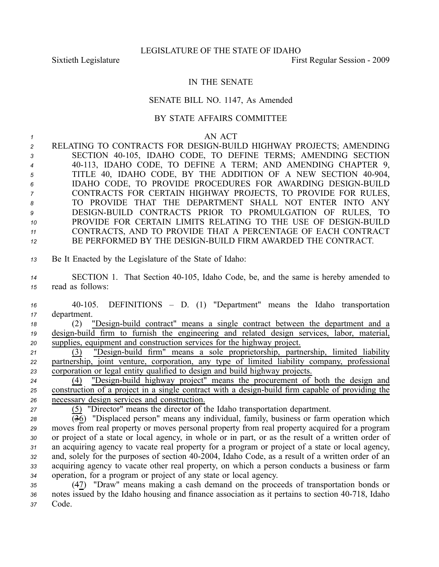## IN THE SENATE

## SENATE BILL NO. 1147, As Amended

## BY STATE AFFAIRS COMMITTEE

*1* AN ACT

| $\overline{2}$ | RELATING TO CONTRACTS FOR DESIGN-BUILD HIGHWAY PROJECTS; AMENDING |
|----------------|-------------------------------------------------------------------|
| $\mathbf{3}$   | SECTION 40-105, IDAHO CODE, TO DEFINE TERMS; AMENDING SECTION     |
| $\overline{4}$ | 40-113, IDAHO CODE, TO DEFINE A TERM; AND AMENDING CHAPTER 9,     |
| 5              | TITLE 40, IDAHO CODE, BY THE ADDITION OF A NEW SECTION 40-904,    |
| 6              | IDAHO CODE, TO PROVIDE PROCEDURES FOR AWARDING DESIGN-BUILD       |
| $\overline{7}$ | CONTRACTS FOR CERTAIN HIGHWAY PROJECTS, TO PROVIDE FOR RULES,     |
| 8              | TO PROVIDE THAT THE DEPARTMENT SHALL NOT ENTER INTO ANY           |
| 9              | DESIGN-BUILD CONTRACTS PRIOR TO PROMULGATION OF RULES, TO         |
| 10             | PROVIDE FOR CERTAIN LIMITS RELATING TO THE USE OF DESIGN-BUILD    |
| 11             | CONTRACTS, AND TO PROVIDE THAT A PERCENTAGE OF EACH CONTRACT      |
| 12             | BE PERFORMED BY THE DESIGN-BUILD FIRM AWARDED THE CONTRACT.       |

- *<sup>13</sup>* Be It Enacted by the Legislature of the State of Idaho:
- 14 SECTION 1. That Section 40-105, Idaho Code, be, and the same is hereby amended to *<sup>15</sup>* read as follows:

*<sup>16</sup>* 40105. DEFINITIONS – D. (1) "Department" means the Idaho transportation *<sup>17</sup>* department.

*18* (2) "Design-build contract" means a single contract between the department and a 19 design-build firm to furnish the engineering and related design services, labor, material, *<sup>20</sup>* supplies, equipment and construction services for the highway project.

21 (3) "Design-build firm" means a sole proprietorship, partnership, limited liability *<sup>22</sup>* partnership, joint venture, corporation, any type of limited liability company, professional *<sup>23</sup>* corporation or legal entity qualified to design and build highway projects.

<sup>24</sup> (4) "Design-build highway project" means the procurement of both the design and 25 construction of a project in a single contract with a design-build firm capable of providing the *<sup>26</sup>* necessary design services and construction.

*<sup>27</sup>* (5) "Director" means the director of the Idaho transportation department.

 (36) "Displaced person" means any individual, family, business or farm operation which moves from real property or moves personal property from real property acquired for <sup>a</sup> program or project of <sup>a</sup> state or local agency, in whole or in part, or as the result of <sup>a</sup> written order of an acquiring agency to vacate real property for <sup>a</sup> program or project of <sup>a</sup> state or local agency, 32 and, solely for the purposes of section 40-2004, Idaho Code, as a result of a written order of an acquiring agency to vacate other real property, on which <sup>a</sup> person conducts <sup>a</sup> business or farm operation, for <sup>a</sup> program or project of any state or local agency.

*<sup>35</sup>* (47) "Draw" means making <sup>a</sup> cash demand on the proceeds of transportation bonds or 36 notes issued by the Idaho housing and finance association as it pertains to section 40-718, Idaho *<sup>37</sup>* Code.